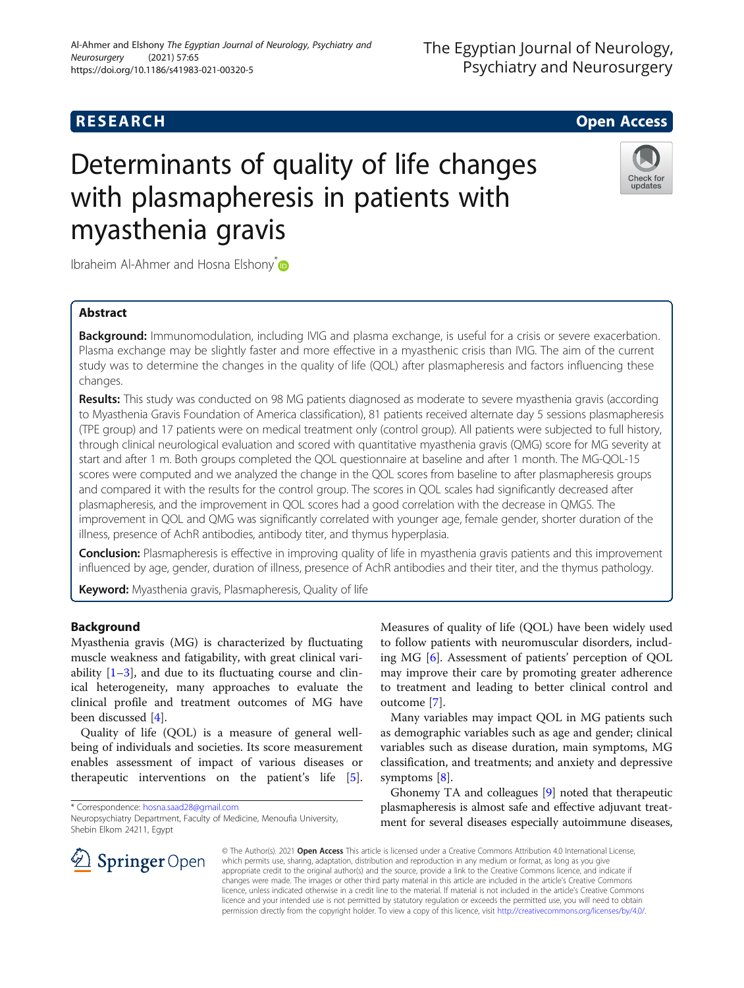## **RESEARCH CHE Open Access**

# Determinants of quality of life changes with plasmapheresis in patients with myasthenia gravis



Ibraheim Al-Ahmer and Hosna Elshony<sup>\*</sup>

## Abstract

Background: Immunomodulation, including IVIG and plasma exchange, is useful for a crisis or severe exacerbation. Plasma exchange may be slightly faster and more effective in a myasthenic crisis than IVIG. The aim of the current study was to determine the changes in the quality of life (QOL) after plasmapheresis and factors influencing these changes.

Results: This study was conducted on 98 MG patients diagnosed as moderate to severe myasthenia gravis (according to Myasthenia Gravis Foundation of America classification), 81 patients received alternate day 5 sessions plasmapheresis (TPE group) and 17 patients were on medical treatment only (control group). All patients were subjected to full history, through clinical neurological evaluation and scored with quantitative myasthenia gravis (QMG) score for MG severity at start and after 1 m. Both groups completed the QOL questionnaire at baseline and after 1 month. The MG-QOL-15 scores were computed and we analyzed the change in the QOL scores from baseline to after plasmapheresis groups and compared it with the results for the control group. The scores in QOL scales had significantly decreased after plasmapheresis, and the improvement in QOL scores had a good correlation with the decrease in QMGS. The improvement in QOL and QMG was significantly correlated with younger age, female gender, shorter duration of the illness, presence of AchR antibodies, antibody titer, and thymus hyperplasia.

Conclusion: Plasmapheresis is effective in improving quality of life in myasthenia gravis patients and this improvement influenced by age, gender, duration of illness, presence of AchR antibodies and their titer, and the thymus pathology.

Keyword: Myasthenia gravis, Plasmapheresis, Quality of life

## Background

Myasthenia gravis (MG) is characterized by fluctuating muscle weakness and fatigability, with great clinical variability  $[1-3]$  $[1-3]$  $[1-3]$  $[1-3]$ , and due to its fluctuating course and clinical heterogeneity, many approaches to evaluate the clinical profile and treatment outcomes of MG have been discussed [[4](#page-8-0)].

Quality of life (QOL) is a measure of general wellbeing of individuals and societies. Its score measurement enables assessment of impact of various diseases or therapeutic interventions on the patient's life [\[5](#page-9-0)].

\* Correspondence: [hosna.saad28@gmail.com](mailto:hosna.saad28@gmail.com)

Measures of quality of life (QOL) have been widely used to follow patients with neuromuscular disorders, including MG [\[6](#page-9-0)]. Assessment of patients' perception of QOL may improve their care by promoting greater adherence to treatment and leading to better clinical control and outcome [[7](#page-9-0)].

Many variables may impact QOL in MG patients such as demographic variables such as age and gender; clinical variables such as disease duration, main symptoms, MG classification, and treatments; and anxiety and depressive symptoms [[8\]](#page-9-0).

Ghonemy TA and colleagues [\[9\]](#page-9-0) noted that therapeutic plasmapheresis is almost safe and effective adjuvant treatment for several diseases especially autoimmune diseases,



© The Author(s). 2021 Open Access This article is licensed under a Creative Commons Attribution 4.0 International License, which permits use, sharing, adaptation, distribution and reproduction in any medium or format, as long as you give appropriate credit to the original author(s) and the source, provide a link to the Creative Commons licence, and indicate if changes were made. The images or other third party material in this article are included in the article's Creative Commons licence, unless indicated otherwise in a credit line to the material. If material is not included in the article's Creative Commons licence and your intended use is not permitted by statutory regulation or exceeds the permitted use, you will need to obtain permission directly from the copyright holder. To view a copy of this licence, visit <http://creativecommons.org/licenses/by/4.0/>.

Neuropsychiatry Department, Faculty of Medicine, Menoufia University, Shebin Elkom 24211, Egypt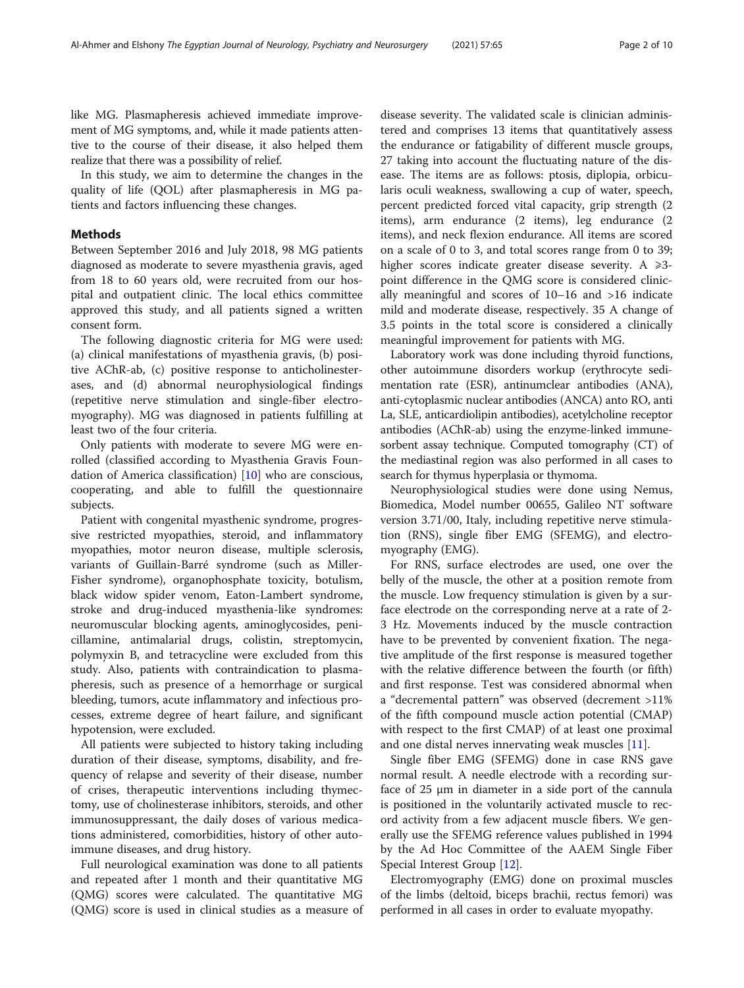like MG. Plasmapheresis achieved immediate improvement of MG symptoms, and, while it made patients attentive to the course of their disease, it also helped them realize that there was a possibility of relief.

In this study, we aim to determine the changes in the quality of life (QOL) after plasmapheresis in MG patients and factors influencing these changes.

### Methods

Between September 2016 and July 2018, 98 MG patients diagnosed as moderate to severe myasthenia gravis, aged from 18 to 60 years old, were recruited from our hospital and outpatient clinic. The local ethics committee approved this study, and all patients signed a written consent form.

The following diagnostic criteria for MG were used: (a) clinical manifestations of myasthenia gravis, (b) positive AChR-ab, (c) positive response to anticholinesterases, and (d) abnormal neurophysiological findings (repetitive nerve stimulation and single-fiber electromyography). MG was diagnosed in patients fulfilling at least two of the four criteria.

Only patients with moderate to severe MG were enrolled (classified according to Myasthenia Gravis Foundation of America classification) [\[10](#page-9-0)] who are conscious, cooperating, and able to fulfill the questionnaire subjects.

Patient with congenital myasthenic syndrome, progressive restricted myopathies, steroid, and inflammatory myopathies, motor neuron disease, multiple sclerosis, variants of Guillain-Barré syndrome (such as Miller-Fisher syndrome), organophosphate toxicity, botulism, black widow spider venom, Eaton-Lambert syndrome, stroke and drug-induced myasthenia-like syndromes: neuromuscular blocking agents, aminoglycosides, penicillamine, antimalarial drugs, colistin, streptomycin, polymyxin B, and tetracycline were excluded from this study. Also, patients with contraindication to plasmapheresis, such as presence of a hemorrhage or surgical bleeding, tumors, acute inflammatory and infectious processes, extreme degree of heart failure, and significant hypotension, were excluded.

All patients were subjected to history taking including duration of their disease, symptoms, disability, and frequency of relapse and severity of their disease, number of crises, therapeutic interventions including thymectomy, use of cholinesterase inhibitors, steroids, and other immunosuppressant, the daily doses of various medications administered, comorbidities, history of other autoimmune diseases, and drug history.

Full neurological examination was done to all patients and repeated after 1 month and their quantitative MG (QMG) scores were calculated. The quantitative MG (QMG) score is used in clinical studies as a measure of

disease severity. The validated scale is clinician administered and comprises 13 items that quantitatively assess the endurance or fatigability of different muscle groups, 27 taking into account the fluctuating nature of the disease. The items are as follows: ptosis, diplopia, orbicularis oculi weakness, swallowing a cup of water, speech, percent predicted forced vital capacity, grip strength (2 items), arm endurance (2 items), leg endurance (2 items), and neck flexion endurance. All items are scored on a scale of 0 to 3, and total scores range from 0 to 39; higher scores indicate greater disease severity. A  $\geq 3$ point difference in the QMG score is considered clinically meaningful and scores of 10–16 and >16 indicate mild and moderate disease, respectively. 35 A change of 3.5 points in the total score is considered a clinically meaningful improvement for patients with MG.

Laboratory work was done including thyroid functions, other autoimmune disorders workup (erythrocyte sedimentation rate (ESR), antinumclear antibodies (ANA), anti-cytoplasmic nuclear antibodies (ANCA) anto RO, anti La, SLE, anticardiolipin antibodies), acetylcholine receptor antibodies (AChR-ab) using the enzyme-linked immunesorbent assay technique. Computed tomography (CT) of the mediastinal region was also performed in all cases to search for thymus hyperplasia or thymoma.

Neurophysiological studies were done using Nemus, Biomedica, Model number 00655, Galileo NT software version 3.71/00, Italy, including repetitive nerve stimulation (RNS), single fiber EMG (SFEMG), and electromyography (EMG).

For RNS, surface electrodes are used, one over the belly of the muscle, the other at a position remote from the muscle. Low frequency stimulation is given by a surface electrode on the corresponding nerve at a rate of 2- 3 Hz. Movements induced by the muscle contraction have to be prevented by convenient fixation. The negative amplitude of the first response is measured together with the relative difference between the fourth (or fifth) and first response. Test was considered abnormal when a "decremental pattern" was observed (decrement >11% of the fifth compound muscle action potential (CMAP) with respect to the first CMAP) of at least one proximal and one distal nerves innervating weak muscles [\[11](#page-9-0)].

Single fiber EMG (SFEMG) done in case RNS gave normal result. A needle electrode with a recording surface of 25 μm in diameter in a side port of the cannula is positioned in the voluntarily activated muscle to record activity from a few adjacent muscle fibers. We generally use the SFEMG reference values published in 1994 by the Ad Hoc Committee of the AAEM Single Fiber Special Interest Group [\[12\]](#page-9-0).

Electromyography (EMG) done on proximal muscles of the limbs (deltoid, biceps brachii, rectus femori) was performed in all cases in order to evaluate myopathy.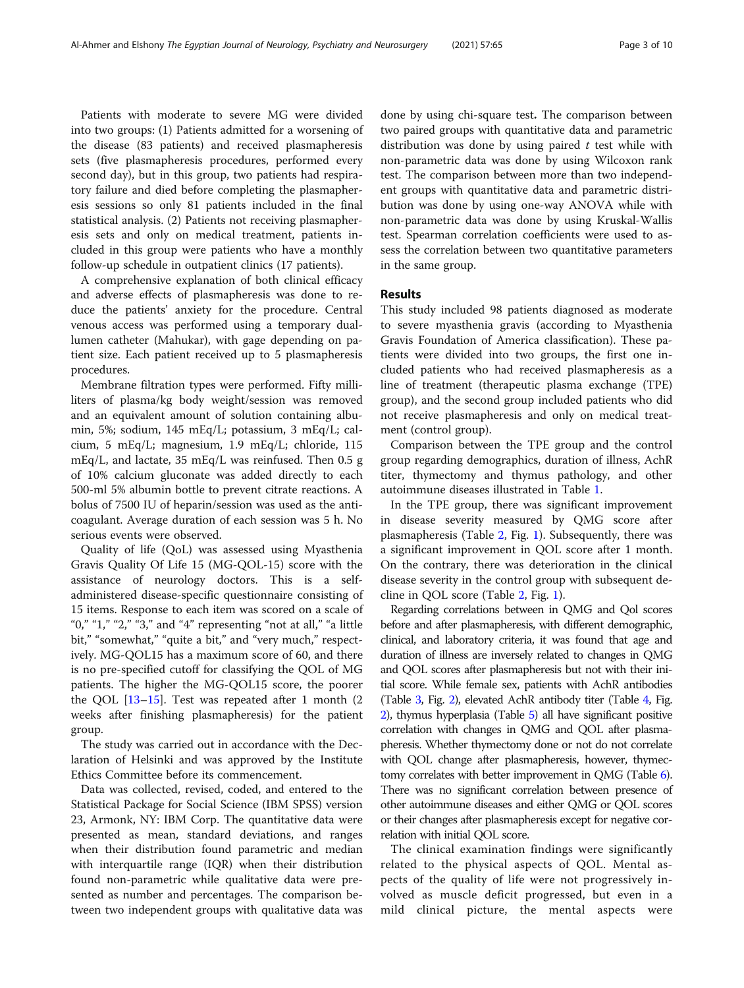Patients with moderate to severe MG were divided into two groups: (1) Patients admitted for a worsening of the disease (83 patients) and received plasmapheresis sets (five plasmapheresis procedures, performed every second day), but in this group, two patients had respiratory failure and died before completing the plasmapheresis sessions so only 81 patients included in the final statistical analysis. (2) Patients not receiving plasmapheresis sets and only on medical treatment, patients included in this group were patients who have a monthly follow-up schedule in outpatient clinics (17 patients).

A comprehensive explanation of both clinical efficacy and adverse effects of plasmapheresis was done to reduce the patients' anxiety for the procedure. Central venous access was performed using a temporary duallumen catheter (Mahukar), with gage depending on patient size. Each patient received up to 5 plasmapheresis procedures.

Membrane filtration types were performed. Fifty milliliters of plasma/kg body weight/session was removed and an equivalent amount of solution containing albumin, 5%; sodium, 145 mEq/L; potassium, 3 mEq/L; calcium, 5 mEq/L; magnesium, 1.9 mEq/L; chloride, 115 mEq/L, and lactate, 35 mEq/L was reinfused. Then 0.5 g of 10% calcium gluconate was added directly to each 500-ml 5% albumin bottle to prevent citrate reactions. A bolus of 7500 IU of heparin/session was used as the anticoagulant. Average duration of each session was 5 h. No serious events were observed.

Quality of life (QoL) was assessed using Myasthenia Gravis Quality Of Life 15 (MG-QOL-15) score with the assistance of neurology doctors. This is a selfadministered disease-specific questionnaire consisting of 15 items. Response to each item was scored on a scale of "0," "1," "2," "3," and "4" representing "not at all," "a little bit," "somewhat," "quite a bit," and "very much," respectively. MG-QOL15 has a maximum score of 60, and there is no pre-specified cutoff for classifying the QOL of MG patients. The higher the MG-QOL15 score, the poorer the QOL  $[13-15]$  $[13-15]$  $[13-15]$ . Test was repeated after 1 month  $(2)$ weeks after finishing plasmapheresis) for the patient group.

The study was carried out in accordance with the Declaration of Helsinki and was approved by the Institute Ethics Committee before its commencement.

Data was collected, revised, coded, and entered to the Statistical Package for Social Science (IBM SPSS) version 23, Armonk, NY: IBM Corp. The quantitative data were presented as mean, standard deviations, and ranges when their distribution found parametric and median with interquartile range (IQR) when their distribution found non-parametric while qualitative data were presented as number and percentages. The comparison between two independent groups with qualitative data was done by using chi-square test. The comparison between two paired groups with quantitative data and parametric distribution was done by using paired  $t$  test while with non-parametric data was done by using Wilcoxon rank test. The comparison between more than two independent groups with quantitative data and parametric distribution was done by using one-way ANOVA while with non-parametric data was done by using Kruskal-Wallis test. Spearman correlation coefficients were used to assess the correlation between two quantitative parameters in the same group.

#### Results

This study included 98 patients diagnosed as moderate to severe myasthenia gravis (according to Myasthenia Gravis Foundation of America classification). These patients were divided into two groups, the first one included patients who had received plasmapheresis as a line of treatment (therapeutic plasma exchange (TPE) group), and the second group included patients who did not receive plasmapheresis and only on medical treatment (control group).

Comparison between the TPE group and the control group regarding demographics, duration of illness, AchR titer, thymectomy and thymus pathology, and other autoimmune diseases illustrated in Table [1](#page-3-0).

In the TPE group, there was significant improvement in disease severity measured by QMG score after plasmapheresis (Table [2,](#page-3-0) Fig. [1\)](#page-4-0). Subsequently, there was a significant improvement in QOL score after 1 month. On the contrary, there was deterioration in the clinical disease severity in the control group with subsequent decline in QOL score (Table [2](#page-3-0), Fig. [1](#page-4-0)).

Regarding correlations between in QMG and Qol scores before and after plasmapheresis, with different demographic, clinical, and laboratory criteria, it was found that age and duration of illness are inversely related to changes in QMG and QOL scores after plasmapheresis but not with their initial score. While female sex, patients with AchR antibodies (Table [3](#page-4-0), Fig. [2](#page-5-0)), elevated AchR antibody titer (Table [4,](#page-5-0) Fig. [2](#page-5-0)), thymus hyperplasia (Table [5\)](#page-6-0) all have significant positive correlation with changes in QMG and QOL after plasmapheresis. Whether thymectomy done or not do not correlate with QOL change after plasmapheresis, however, thymectomy correlates with better improvement in QMG (Table [6\)](#page-6-0). There was no significant correlation between presence of other autoimmune diseases and either QMG or QOL scores or their changes after plasmapheresis except for negative correlation with initial QOL score.

The clinical examination findings were significantly related to the physical aspects of QOL. Mental aspects of the quality of life were not progressively involved as muscle deficit progressed, but even in a mild clinical picture, the mental aspects were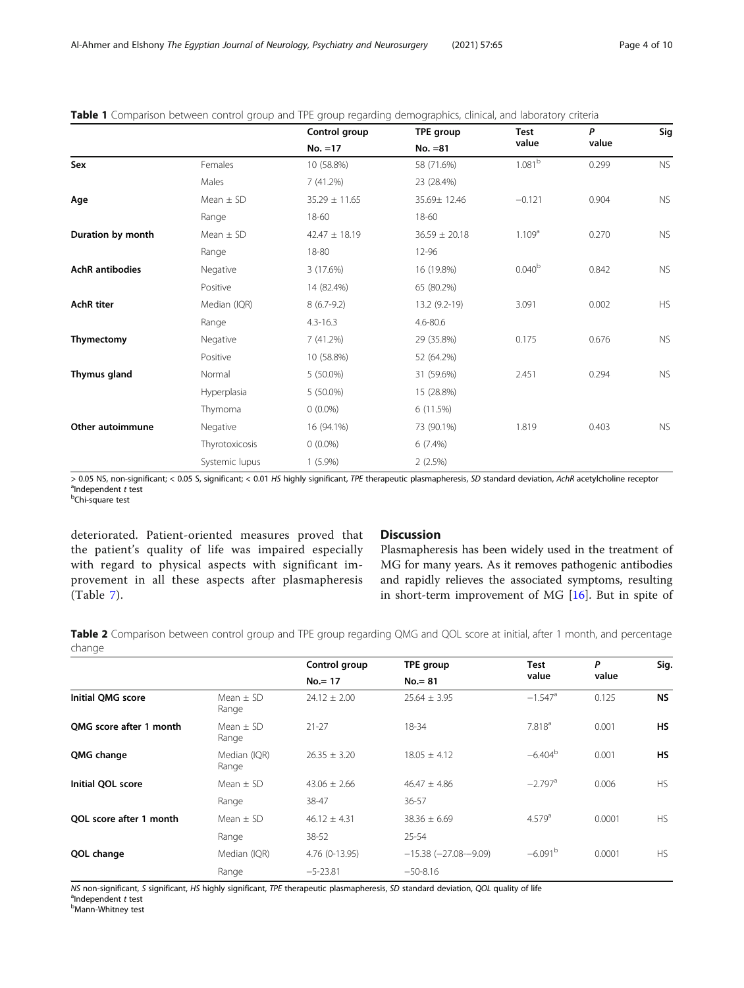|                        |                | Control group     | <b>TPE group</b>  | <b>Test</b>        | P     | Sig       |
|------------------------|----------------|-------------------|-------------------|--------------------|-------|-----------|
|                        |                | $No. = 17$        | $No. = 81$        | value              | value |           |
| Sex                    | Females        | 10 (58.8%)        | 58 (71.6%)        | $1.081^{b}$        | 0.299 | <b>NS</b> |
|                        | Males          | 7(41.2%)          | 23 (28.4%)        |                    |       |           |
| Age                    | Mean $\pm$ SD  | $35.29 \pm 11.65$ | 35.69± 12.46      | $-0.121$           | 0.904 | <b>NS</b> |
|                        | Range          | 18-60             | 18-60             |                    |       |           |
| Duration by month      | Mean $\pm$ SD  | $42.47 \pm 18.19$ | $36.59 \pm 20.18$ | 1.109 <sup>a</sup> | 0.270 | <b>NS</b> |
|                        | Range          | 18-80             | 12-96             |                    |       |           |
| <b>AchR</b> antibodies | Negative       | 3 (17.6%)         | 16 (19.8%)        | 0.040 <sup>b</sup> | 0.842 | <b>NS</b> |
|                        | Positive       | 14 (82.4%)        | 65 (80.2%)        |                    |       |           |
| <b>AchR</b> titer      | Median (IQR)   | $8(6.7-9.2)$      | 13.2 (9.2-19)     | 3.091              | 0.002 | <b>HS</b> |
|                        | Range          | $4.3 - 16.3$      | 4.6-80.6          |                    |       |           |
| Thymectomy             | Negative       | 7(41.2%)          | 29 (35.8%)        | 0.175              | 0.676 | <b>NS</b> |
|                        | Positive       | 10 (58.8%)        | 52 (64.2%)        |                    |       |           |
| Thymus gland           | Normal         | 5 (50.0%)         | 31 (59.6%)        | 2.451              | 0.294 | <b>NS</b> |
|                        | Hyperplasia    | 5 (50.0%)         | 15 (28.8%)        |                    |       |           |
|                        | Thymoma        | $0(0.0\%)$        | 6(11.5%)          |                    |       |           |
| Other autoimmune       | Negative       | 16 (94.1%)        | 73 (90.1%)        | 1.819              | 0.403 | <b>NS</b> |
|                        | Thyrotoxicosis | $0(0.0\%)$        | $6(7.4\%)$        |                    |       |           |
|                        | Systemic lupus | $1(5.9\%)$        | 2(2.5%)           |                    |       |           |

## <span id="page-3-0"></span>Table 1 Comparison between control group and TPE group regarding demographics, clinical, and laboratory criteria

> 0.05 NS, non-significant; < 0.05 S, significant; < 0.01 HS highly significant, TPE therapeutic plasmapheresis, SD standard deviation, AchR acetylcholine receptor  $a$ Independent  $t$  test

Chi-square test

deteriorated. Patient-oriented measures proved that the patient's quality of life was impaired especially with regard to physical aspects with significant improvement in all these aspects after plasmapheresis (Table [7](#page-7-0)).

## Discussion

Plasmapheresis has been widely used in the treatment of MG for many years. As it removes pathogenic antibodies and rapidly relieves the associated symptoms, resulting in short-term improvement of MG [[16](#page-9-0)]. But in spite of

Table 2 Comparison between control group and TPE group regarding QMG and QOL score at initial, after 1 month, and percentage change

|                          |                        | Control group    | TPE group                  | <b>Test</b>           | P      | Sig.      |  |
|--------------------------|------------------------|------------------|----------------------------|-----------------------|--------|-----------|--|
|                          |                        | $No = 17$        | $No = 81$                  | value                 | value  |           |  |
| <b>Initial OMG score</b> | Mean $\pm$ SD<br>Range | $24.12 \pm 2.00$ | $25.64 \pm 3.95$           | $-1.547$ <sup>a</sup> | 0.125  | <b>NS</b> |  |
| OMG score after 1 month  | $Mean + SD$<br>Range   | $21 - 27$        | $18 - 34$                  | 7.818 <sup>a</sup>    | 0.001  | <b>HS</b> |  |
| QMG change               | Median (IQR)<br>Range  | $26.35 \pm 3.20$ | $18.05 \pm 4.12$           | $-6.404b$             | 0.001  | <b>HS</b> |  |
| Initial QOL score        | Mean $\pm$ SD          | $43.06 + 2.66$   | $46.47 + 4.86$             | $-2.797$ <sup>a</sup> | 0.006  | <b>HS</b> |  |
|                          | Range                  | 38-47            | $36 - 57$                  |                       |        |           |  |
| OOL score after 1 month  | Mean $\pm$ SD          | $46.12 \pm 4.31$ | $38.36 \pm 6.69$           | $4.579$ <sup>a</sup>  | 0.0001 | <b>HS</b> |  |
|                          | Range                  | 38-52            | $25 - 54$                  |                       |        |           |  |
| QOL change               | Median (IQR)           | 4.76 (0-13.95)   | $-15.38$ ( $-27.08-9.09$ ) | $-6.091b$             | 0.0001 | <b>HS</b> |  |
|                          | Range                  | $-5 - 23.81$     | $-50-8.16$                 |                       |        |           |  |

NS non-significant, S significant, HS highly significant, TPE therapeutic plasmapheresis, SD standard deviation, QOL quality of life  $^a$ Independent t test

Mann-Whitney test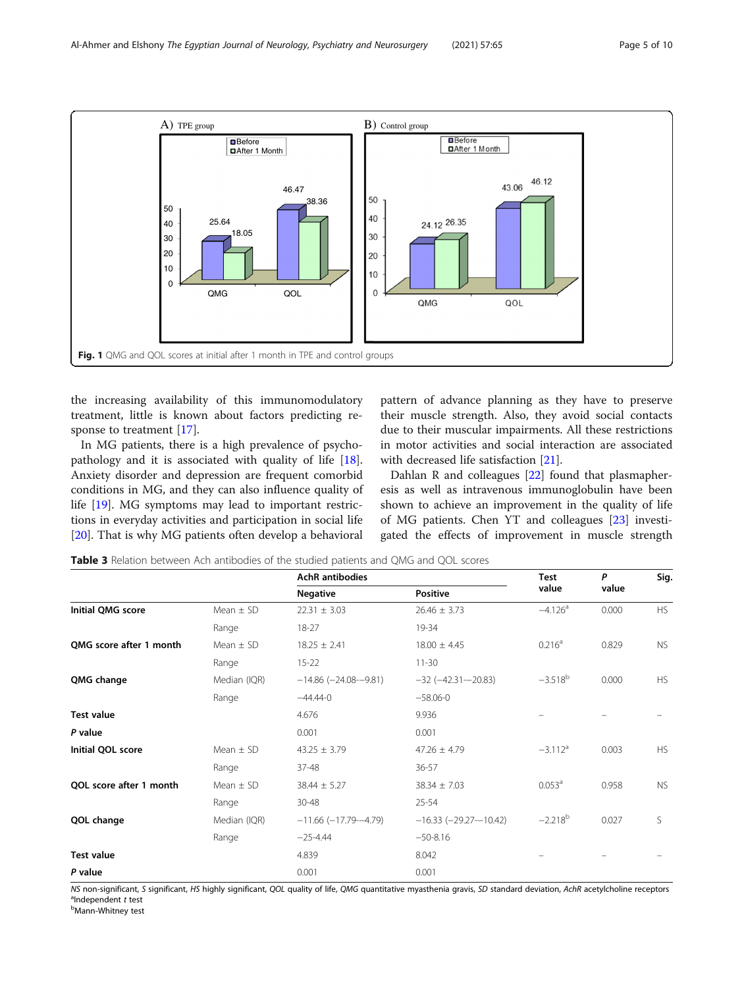<span id="page-4-0"></span>

the increasing availability of this immunomodulatory treatment, little is known about factors predicting response to treatment [[17](#page-9-0)].

In MG patients, there is a high prevalence of psychopathology and it is associated with quality of life [\[18](#page-9-0)]. Anxiety disorder and depression are frequent comorbid conditions in MG, and they can also influence quality of life [\[19](#page-9-0)]. MG symptoms may lead to important restrictions in everyday activities and participation in social life [[20\]](#page-9-0). That is why MG patients often develop a behavioral pattern of advance planning as they have to preserve their muscle strength. Also, they avoid social contacts due to their muscular impairments. All these restrictions in motor activities and social interaction are associated with decreased life satisfaction [\[21](#page-9-0)].

Dahlan R and colleagues [\[22](#page-9-0)] found that plasmapheresis as well as intravenous immunoglobulin have been shown to achieve an improvement in the quality of life of MG patients. Chen YT and colleagues [[23\]](#page-9-0) investigated the effects of improvement in muscle strength

| <b>Table 3</b> Relation between Ach antibodies of the studied patients and QMG and QOL scores |  |
|-----------------------------------------------------------------------------------------------|--|
|-----------------------------------------------------------------------------------------------|--|

|                          |               | <b>AchR</b> antibodies       | <b>Test</b>                   | P                     | Sig.  |           |  |
|--------------------------|---------------|------------------------------|-------------------------------|-----------------------|-------|-----------|--|
|                          |               | <b>Negative</b>              | <b>Positive</b>               | value                 | value |           |  |
| <b>Initial QMG score</b> | Mean $\pm$ SD | $22.31 \pm 3.03$             | $26.46 \pm 3.73$              | $-4.126$ <sup>a</sup> | 0.000 | HS        |  |
|                          | Range         | $18 - 27$                    | 19-34                         |                       |       |           |  |
| OMG score after 1 month  | Mean $\pm$ SD | $18.25 \pm 2.41$             | $18.00 \pm 4.45$              | $0.216^a$             | 0.829 | <b>NS</b> |  |
|                          | Range         | $15 - 22$                    | $11 - 30$                     |                       |       |           |  |
| QMG change               | Median (IQR)  | $-14.86$ ( $-24.08 - 9.81$ ) | $-32 (-42.31 - 20.83)$        | $-3.518^{b}$          | 0.000 | <b>HS</b> |  |
|                          | Range         | $-44.44-0$                   | $-58.06 - 0$                  |                       |       |           |  |
| <b>Test value</b>        |               | 4.676                        | 9.936                         |                       |       |           |  |
| P value                  |               | 0.001                        | 0.001                         |                       |       |           |  |
| Initial QOL score        | Mean $\pm$ SD | $43.25 \pm 3.79$             | $47.26 \pm 4.79$              | $-3.112$ <sup>a</sup> | 0.003 | <b>HS</b> |  |
|                          | Range         | 37-48                        | 36-57                         |                       |       |           |  |
| OOL score after 1 month  | Mean $\pm$ SD | $38.44 \pm 5.27$             | $38.34 \pm 7.03$              | 0.053 <sup>a</sup>    | 0.958 | <b>NS</b> |  |
|                          | Range         | 30-48                        | 25-54                         |                       |       |           |  |
| QOL change               | Median (IQR)  | $-11.66$ ( $-17.79 - 4.79$ ) | $-16.33$ ( $-29.27 - 10.42$ ) | $-2.218^{b}$          | 0.027 | S         |  |
|                          | Range         | $-25 - 4.44$                 | $-50-8.16$                    |                       |       |           |  |
| <b>Test value</b>        |               | 4.839                        | 8.042                         |                       |       |           |  |
| P value                  |               | 0.001                        | 0.001                         |                       |       |           |  |

NS non-significant, S significant, HS highly significant, QOL quality of life, QMG quantitative myasthenia gravis, SD standard deviation, AchR acetylcholine receptors <sup>a</sup>ndependent t test

<sup>a</sup>Independent *t* test<br><sup>b</sup>Mann-Whitney test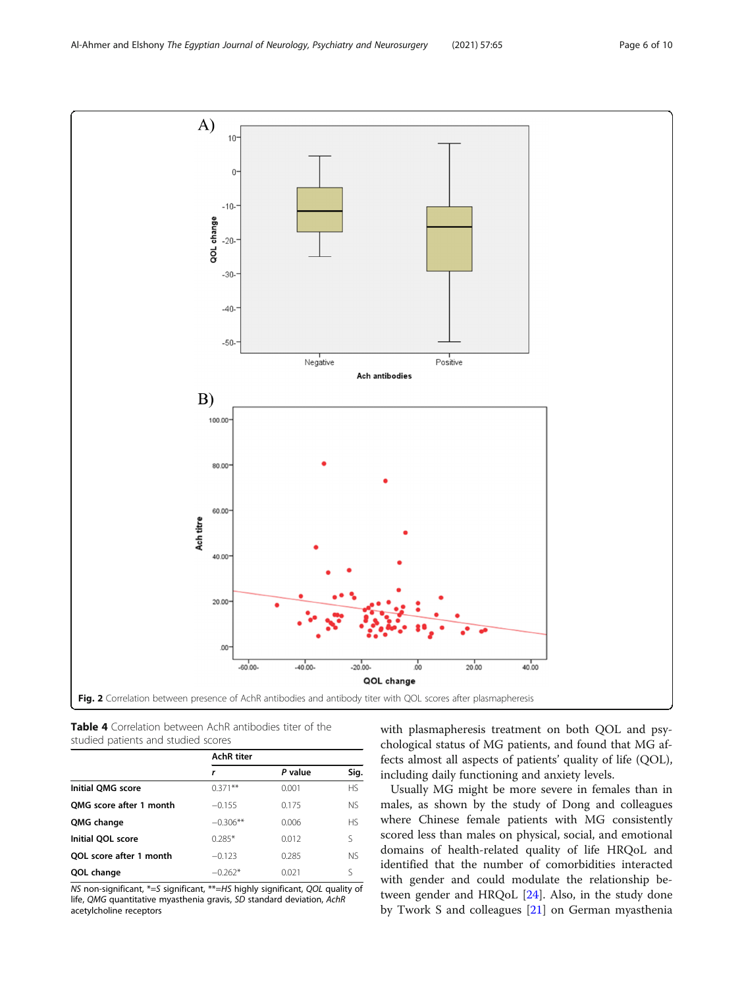<span id="page-5-0"></span> $\mathbf{A}$  $10$  $\overline{0}$  $-10$ QOL change  $-20 -30 -40 -50-$ Negative Positive Ach antibodies  $B)$ 100.00 80.00 60.00 Ach titre 40.00 20.00  $0<sup>0</sup>$  $-60.00$  $-40.00 -20.00 \frac{1}{20}$  $20.00$  $40.00$ QOL change Fig. 2 Correlation between presence of AchR antibodies and antibody titer with QOL scores after plasmapheresis

Table 4 Correlation between AchR antibodies titer of the studied patients and studied scores

|                         | <b>AchR</b> titer |         |           |
|-------------------------|-------------------|---------|-----------|
|                         | r                 | P value | Sig.      |
| Initial OMG score       | $0.371**$         | 0.001   | <b>HS</b> |
| OMG score after 1 month | $-0.155$          | 0.175   | NS.       |
| QMG change              | $-0.306**$        | 0.006   | <b>HS</b> |
| Initial QOL score       | $0.285*$          | 0.012   | ς         |
| OOL score after 1 month | $-0.123$          | 0.285   | <b>NS</b> |
| QOL change              | $-0.262*$         | 0.021   | ς         |

NS non-significant, \*=S significant, \*\*=HS highly significant, QOL quality of life, QMG quantitative myasthenia gravis, SD standard deviation, AchR acetylcholine receptors

with plasmapheresis treatment on both QOL and psychological status of MG patients, and found that MG affects almost all aspects of patients' quality of life (QOL), including daily functioning and anxiety levels.

Usually MG might be more severe in females than in males, as shown by the study of Dong and colleagues where Chinese female patients with MG consistently scored less than males on physical, social, and emotional domains of health-related quality of life HRQoL and identified that the number of comorbidities interacted with gender and could modulate the relationship between gender and HRQoL [[24](#page-9-0)]. Also, in the study done by Twork S and colleagues [[21](#page-9-0)] on German myasthenia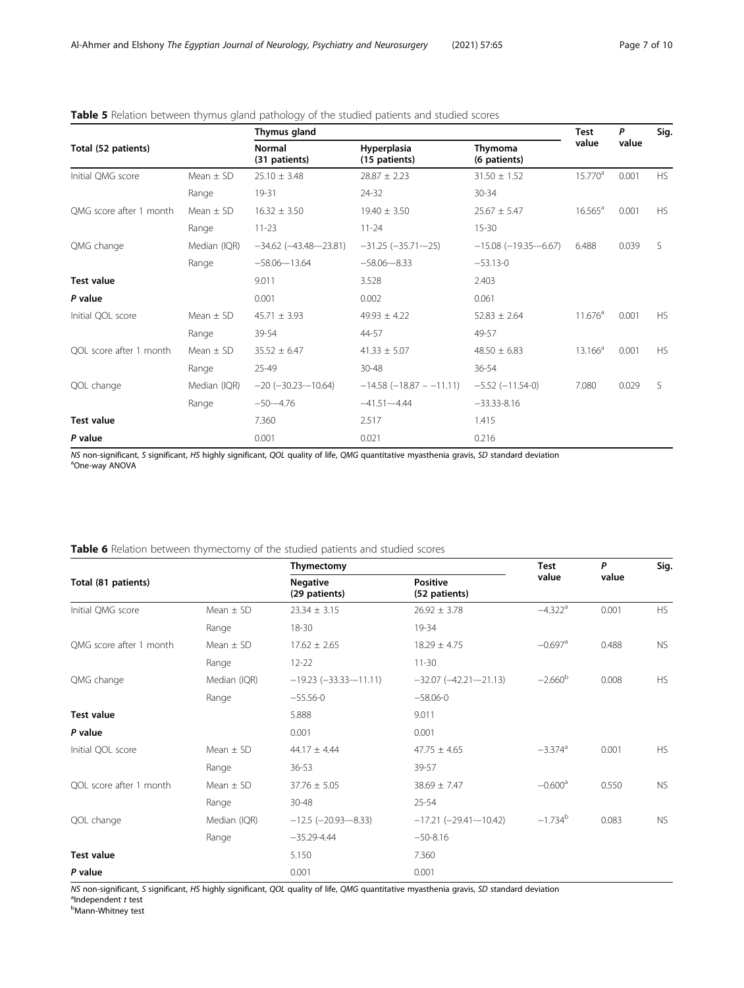## <span id="page-6-0"></span>Table 5 Relation between thymus gland pathology of the studied patients and studied scores

|                         |               | Thymus gland                  |                               |                                 |            |       | Sig.      |
|-------------------------|---------------|-------------------------------|-------------------------------|---------------------------------|------------|-------|-----------|
| Total (52 patients)     |               | Normal<br>(31 patients)       | Hyperplasia<br>(15 patients)  | Thymoma<br>(6 patients)         | value      | value |           |
| Initial QMG score       | Mean $\pm$ SD | $25.10 \pm 3.48$              | $28.87 \pm 2.23$              | $31.50 \pm 1.52$                | $15.770^a$ | 0.001 | HS        |
|                         | Range         | 19-31                         | 24-32                         | 30-34                           |            |       |           |
| QMG score after 1 month | Mean $\pm$ SD | $16.32 \pm 3.50$              | $19.40 \pm 3.50$              | $25.67 \pm 5.47$                | $16.565^a$ | 0.001 | HS.       |
|                         | Range         | $11 - 23$                     | $11 - 24$                     | $15 - 30$                       |            |       |           |
| QMG change              | Median (IQR)  | $-34.62$ ( $-43.48 - 23.81$ ) | $-31.25$ ( $-35.71$ - $-25$ ) | $-15.08$ ( $-19.35$ - $-6.67$ ) | 6.488      | 0.039 | S         |
|                         | Range         | $-58.06 - 13.64$              | $-58.06 - 8.33$               | $-53.13-0$                      |            |       |           |
| <b>Test value</b>       |               | 9.011                         | 3.528                         | 2.403                           |            |       |           |
| P value                 |               | 0.001                         | 0.002                         | 0.061                           |            |       |           |
| Initial QOL score       | Mean $\pm$ SD | $45.71 \pm 3.93$              | $49.93 \pm 4.22$              | $52.83 \pm 2.64$                | $11.676^a$ | 0.001 | HS.       |
|                         | Range         | 39-54                         | 44-57                         | 49-57                           |            |       |           |
| QOL score after 1 month | Mean $\pm$ SD | $35.52 \pm 6.47$              | $41.33 \pm 5.07$              | $48.50 \pm 6.83$                | $13.166^a$ | 0.001 | <b>HS</b> |
|                         | Range         | 25-49                         | 30-48                         | 36-54                           |            |       |           |
| QOL change              | Median (IQR)  | $-20 (-30.23 - 10.64)$        | $-14.58$ ( $-18.87 - 11.11$ ) | $-5.52$ $(-11.54-0)$            | 7.080      | 0.029 | S         |
|                         | Range         | $-50 - -4.76$                 | $-41.51 - 4.44$               | $-33.33 - 8.16$                 |            |       |           |
| <b>Test value</b>       |               | 7.360                         | 2.517                         | 1.415                           |            |       |           |
| P value                 |               | 0.001                         | 0.021                         | 0.216                           |            |       |           |

NS non-significant, <sup>S</sup> significant, HS highly significant, QOL quality of life, QMG quantitative myasthenia gravis, SD standard deviation <sup>a</sup> One-way ANOVA

## Table 6 Relation between thymectomy of the studied patients and studied scores

|                         |               | Thymectomy                       | <b>Test</b>                      | P                     | Sig.  |           |
|-------------------------|---------------|----------------------------------|----------------------------------|-----------------------|-------|-----------|
| Total (81 patients)     |               | <b>Negative</b><br>(29 patients) | <b>Positive</b><br>(52 patients) | value                 |       | value     |
| Initial QMG score       | Mean $\pm$ SD | $23.34 \pm 3.15$                 | $26.92 \pm 3.78$                 | $-4.322$ <sup>a</sup> | 0.001 | HS        |
|                         | Range         | 18-30                            | 19-34                            |                       |       |           |
| OMG score after 1 month | Mean $\pm$ SD | $17.62 \pm 2.65$                 | $18.29 \pm 4.75$                 | $-0.697$ <sup>a</sup> | 0.488 | <b>NS</b> |
|                         | Range         | $12 - 22$                        | $11 - 30$                        |                       |       |           |
| QMG change              | Median (IQR)  | $-19.23$ $(-33.33 - 11.11)$      | $-32.07$ $(-42.21 - 21.13)$      | $-2.660^{\rm b}$      | 0.008 | <b>HS</b> |
|                         | Range         | $-55.56 - 0$                     | $-58.06 - 0$                     |                       |       |           |
| <b>Test value</b>       |               | 5.888                            | 9.011                            |                       |       |           |
| P value                 |               | 0.001                            | 0.001                            |                       |       |           |
| Initial QOL score       | Mean $\pm$ SD | $44.17 \pm 4.44$                 | $47.75 \pm 4.65$                 | $-3.374$ <sup>a</sup> | 0.001 | <b>HS</b> |
|                         | Range         | $36 - 53$                        | 39-57                            |                       |       |           |
| QOL score after 1 month | Mean $\pm$ SD | $37.76 \pm 5.05$                 | $38.69 \pm 7.47$                 | $-0.600$ <sup>a</sup> | 0.550 | <b>NS</b> |
|                         | Range         | $30 - 48$                        | $25 - 54$                        |                       |       |           |
| QOL change              | Median (IQR)  | $-12.5$ ( $-20.93 - 8.33$ )      | $-17.21 (-29.41 - 10.42)$        | $-1.734^{b}$          | 0.083 | <b>NS</b> |
|                         | Range         | $-35.29 - 4.44$                  | $-50 - 8.16$                     |                       |       |           |
| <b>Test value</b>       |               | 5.150                            | 7.360                            |                       |       |           |
| P value                 |               | 0.001                            | 0.001                            |                       |       |           |

NS non-significant, S significant, HS highly significant, QOL quality of life, QMG quantitative myasthenia gravis, SD standard deviation  $a_{\text{l}}$ <sup>a</sup>Independent *t* test<br><sup>b</sup>Mann-Whitney test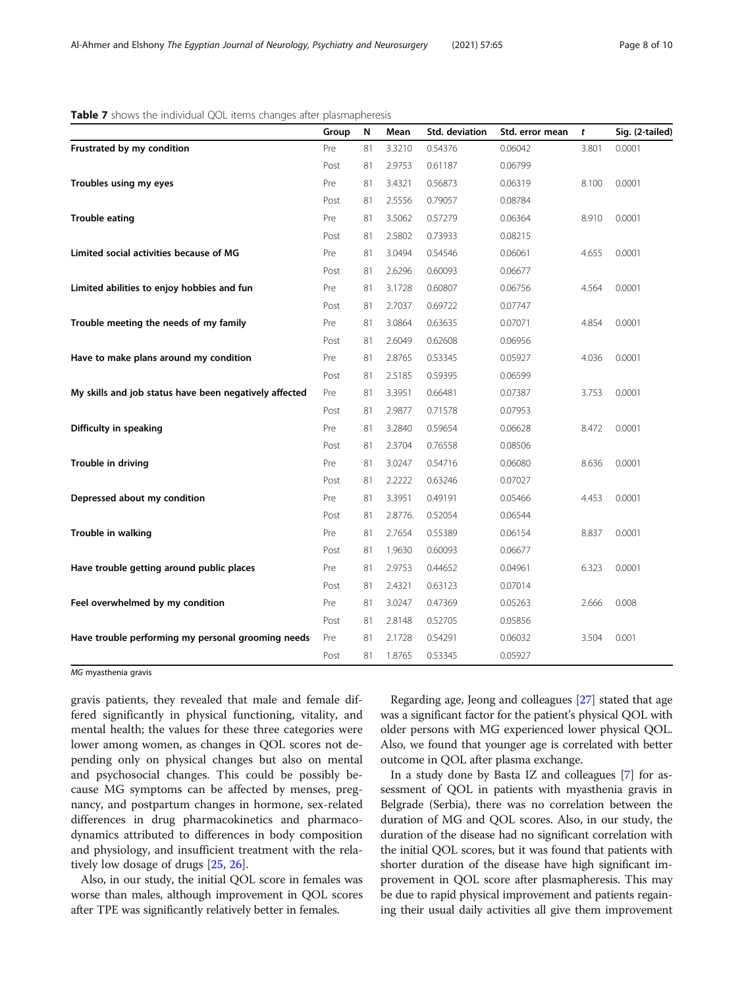| Group | ${\sf N}$                                          | Mean    | Std. deviation | Std. error mean | t     | Sig. (2-tailed) |
|-------|----------------------------------------------------|---------|----------------|-----------------|-------|-----------------|
| Pre   | 81                                                 | 3.3210  | 0.54376        | 0.06042         | 3.801 | 0.0001          |
| Post  | 81                                                 | 2.9753  | 0.61187        | 0.06799         |       |                 |
| Pre   | 81                                                 | 3.4321  | 0.56873        | 0.06319         | 8.100 | 0.0001          |
| Post  | 81                                                 | 2.5556  | 0.79057        | 0.08784         |       |                 |
| Pre   | 81                                                 | 3.5062  | 0.57279        | 0.06364         | 8.910 | 0.0001          |
| Post  | 81                                                 | 2.5802  | 0.73933        | 0.08215         |       |                 |
| Pre   | 81                                                 | 3.0494  | 0.54546        | 0.06061         | 4.655 | 0.0001          |
| Post  | 81                                                 | 2.6296  | 0.60093        | 0.06677         |       |                 |
| Pre   | 81                                                 | 3.1728  | 0.60807        | 0.06756         | 4.564 | 0.0001          |
| Post  | 81                                                 | 2.7037  | 0.69722        | 0.07747         |       |                 |
| Pre   | 81                                                 | 3.0864  | 0.63635        | 0.07071         | 4.854 | 0.0001          |
| Post  | 81                                                 | 2.6049  | 0.62608        | 0.06956         |       |                 |
| Pre   | 81                                                 | 2.8765  | 0.53345        | 0.05927         | 4.036 | 0.0001          |
| Post  | 81                                                 | 2.5185  | 0.59395        | 0.06599         |       |                 |
| Pre   | 81                                                 | 3.3951  | 0.66481        | 0.07387         | 3.753 | 0.0001          |
| Post  | 81                                                 | 2.9877  | 0.71578        | 0.07953         |       |                 |
| Pre   | 81                                                 | 3.2840  | 0.59654        | 0.06628         | 8.472 | 0.0001          |
| Post  | 81                                                 | 2.3704  | 0.76558        | 0.08506         |       |                 |
| Pre   | 81                                                 | 3.0247  | 0.54716        | 0.06080         | 8.636 | 0.0001          |
| Post  | 81                                                 | 2.2222  | 0.63246        | 0.07027         |       |                 |
| Pre   | 81                                                 | 3.3951  | 0.49191        | 0.05466         | 4.453 | 0.0001          |
| Post  | 81                                                 | 2.8776. | 0.52054        | 0.06544         |       |                 |
| Pre   | 81                                                 | 2.7654  | 0.55389        | 0.06154         | 8.837 | 0.0001          |
| Post  | 81                                                 | 1.9630  | 0.60093        | 0.06677         |       |                 |
| Pre   | 81                                                 | 2.9753  | 0.44652        | 0.04961         | 6.323 | 0.0001          |
| Post  | 81                                                 | 2.4321  | 0.63123        | 0.07014         |       |                 |
| Pre   | 81                                                 | 3.0247  | 0.47369        | 0.05263         | 2.666 | 0.008           |
| Post  | 81                                                 | 2.8148  | 0.52705        | 0.05856         |       |                 |
| Pre   | 81                                                 | 2.1728  | 0.54291        | 0.06032         | 3.504 | 0.001           |
| Post  | 81                                                 | 1.8765  | 0.53345        | 0.05927         |       |                 |
|       | Have trouble performing my personal grooming needs |         |                |                 |       |                 |

<span id="page-7-0"></span>

MG myasthenia gravis

gravis patients, they revealed that male and female differed significantly in physical functioning, vitality, and mental health; the values for these three categories were lower among women, as changes in QOL scores not depending only on physical changes but also on mental and psychosocial changes. This could be possibly because MG symptoms can be affected by menses, pregnancy, and postpartum changes in hormone, sex-related differences in drug pharmacokinetics and pharmacodynamics attributed to differences in body composition and physiology, and insufficient treatment with the relatively low dosage of drugs [[25,](#page-9-0) [26\]](#page-9-0).

Also, in our study, the initial QOL score in females was worse than males, although improvement in QOL scores after TPE was significantly relatively better in females.

Regarding age, Jeong and colleagues [\[27\]](#page-9-0) stated that age was a significant factor for the patient's physical QOL with older persons with MG experienced lower physical QOL. Also, we found that younger age is correlated with better outcome in QOL after plasma exchange.

In a study done by Basta IZ and colleagues [\[7\]](#page-9-0) for assessment of QOL in patients with myasthenia gravis in Belgrade (Serbia), there was no correlation between the duration of MG and QOL scores. Also, in our study, the duration of the disease had no significant correlation with the initial QOL scores, but it was found that patients with shorter duration of the disease have high significant improvement in QOL score after plasmapheresis. This may be due to rapid physical improvement and patients regaining their usual daily activities all give them improvement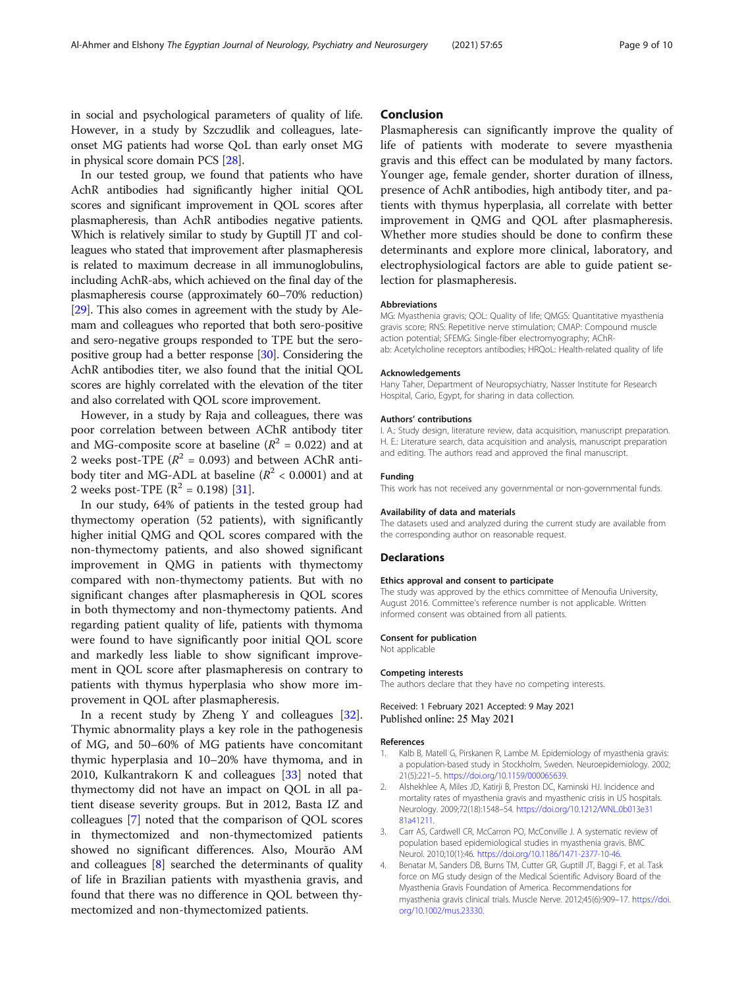<span id="page-8-0"></span>in social and psychological parameters of quality of life. However, in a study by Szczudlik and colleagues, lateonset MG patients had worse QoL than early onset MG in physical score domain PCS [[28](#page-9-0)].

In our tested group, we found that patients who have AchR antibodies had significantly higher initial QOL scores and significant improvement in QOL scores after plasmapheresis, than AchR antibodies negative patients. Which is relatively similar to study by Guptill JT and colleagues who stated that improvement after plasmapheresis is related to maximum decrease in all immunoglobulins, including AchR-abs, which achieved on the final day of the plasmapheresis course (approximately 60–70% reduction) [[29](#page-9-0)]. This also comes in agreement with the study by Alemam and colleagues who reported that both sero-positive and sero-negative groups responded to TPE but the seropositive group had a better response [\[30](#page-9-0)]. Considering the AchR antibodies titer, we also found that the initial QOL scores are highly correlated with the elevation of the titer and also correlated with QOL score improvement.

However, in a study by Raja and colleagues, there was poor correlation between between AChR antibody titer and MG-composite score at baseline  $(R^2 = 0.022)$  and at 2 weeks post-TPE ( $R^2$  = 0.093) and between AChR antibody titer and MG-ADL at baseline ( $R^2$  < 0.0001) and at 2 weeks post-TPE ( $\mathbb{R}^2$  = 0.198) [[31\]](#page-9-0).

In our study, 64% of patients in the tested group had thymectomy operation (52 patients), with significantly higher initial QMG and QOL scores compared with the non-thymectomy patients, and also showed significant improvement in QMG in patients with thymectomy compared with non-thymectomy patients. But with no significant changes after plasmapheresis in QOL scores in both thymectomy and non-thymectomy patients. And regarding patient quality of life, patients with thymoma were found to have significantly poor initial QOL score and markedly less liable to show significant improvement in QOL score after plasmapheresis on contrary to patients with thymus hyperplasia who show more improvement in QOL after plasmapheresis.

In a recent study by Zheng Y and colleagues [\[32](#page-9-0)]. Thymic abnormality plays a key role in the pathogenesis of MG, and 50–60% of MG patients have concomitant thymic hyperplasia and 10–20% have thymoma, and in 2010, Kulkantrakorn K and colleagues [[33](#page-9-0)] noted that thymectomy did not have an impact on QOL in all patient disease severity groups. But in 2012, Basta IZ and colleagues [[7\]](#page-9-0) noted that the comparison of QOL scores in thymectomized and non-thymectomized patients showed no significant differences. Also, Mourão AM and colleagues [[8](#page-9-0)] searched the determinants of quality of life in Brazilian patients with myasthenia gravis, and found that there was no difference in QOL between thymectomized and non-thymectomized patients.

## Conclusion

Plasmapheresis can significantly improve the quality of life of patients with moderate to severe myasthenia gravis and this effect can be modulated by many factors. Younger age, female gender, shorter duration of illness, presence of AchR antibodies, high antibody titer, and patients with thymus hyperplasia, all correlate with better improvement in QMG and QOL after plasmapheresis. Whether more studies should be done to confirm these determinants and explore more clinical, laboratory, and electrophysiological factors are able to guide patient selection for plasmapheresis.

#### Abbreviations

MG: Myasthenia gravis; QOL: Quality of life; QMGS: Quantitative myasthenia gravis score; RNS: Repetitive nerve stimulation; CMAP: Compound muscle action potential; SFEMG: Single-fiber electromyography; AChRab: Acetylcholine receptors antibodies; HRQoL: Health-related quality of life

#### Acknowledgements

Hany Taher, Department of Neuropsychiatry, Nasser Institute for Research Hospital, Cario, Egypt, for sharing in data collection.

#### Authors' contributions

I. A.: Study design, literature review, data acquisition, manuscript preparation. H. E.: Literature search, data acquisition and analysis, manuscript preparation and editing. The authors read and approved the final manuscript.

#### Funding

This work has not received any governmental or non-governmental funds.

#### Availability of data and materials

The datasets used and analyzed during the current study are available from the corresponding author on reasonable request.

#### **Declarations**

#### Ethics approval and consent to participate

The study was approved by the ethics committee of Menoufia University, August 2016. Committee's reference number is not applicable. Written informed consent was obtained from all patients.

#### Consent for publication

Not applicable

#### Competing interests

The authors declare that they have no competing interests.

Received: 1 February 2021 Accepted: 9 May 2021 Published online: 25 May 2021

#### References

- 1. Kalb B, Matell G, Pirskanen R, Lambe M. Epidemiology of myasthenia gravis: a population-based study in Stockholm, Sweden. Neuroepidemiology. 2002; 21(5):221–5. <https://doi.org/10.1159/000065639>.
- 2. Alshekhlee A, Miles JD, Katirji B, Preston DC, Kaminski HJ. Incidence and mortality rates of myasthenia gravis and myasthenic crisis in US hospitals. Neurology. 2009;72(18):1548–54. [https://doi.org/10.1212/WNL.0b013e31](https://doi.org/10.1212/WNL.0b013e3181a41211) [81a41211.](https://doi.org/10.1212/WNL.0b013e3181a41211)
- 3. Carr AS, Cardwell CR, McCarron PO, McConville J. A systematic review of population based epidemiological studies in myasthenia gravis. BMC Neurol. 2010;10(1):46. [https://doi.org/10.1186/1471-2377-10-46.](https://doi.org/10.1186/1471-2377-10-46)
- 4. Benatar M, Sanders DB, Burns TM, Cutter GR, Guptill JT, Baggi F, et al. Task force on MG study design of the Medical Scientific Advisory Board of the Myasthenia Gravis Foundation of America. Recommendations for myasthenia gravis clinical trials. Muscle Nerve. 2012;45(6):909–17. [https://doi.](https://doi.org/10.1002/mus.23330) [org/10.1002/mus.23330](https://doi.org/10.1002/mus.23330).